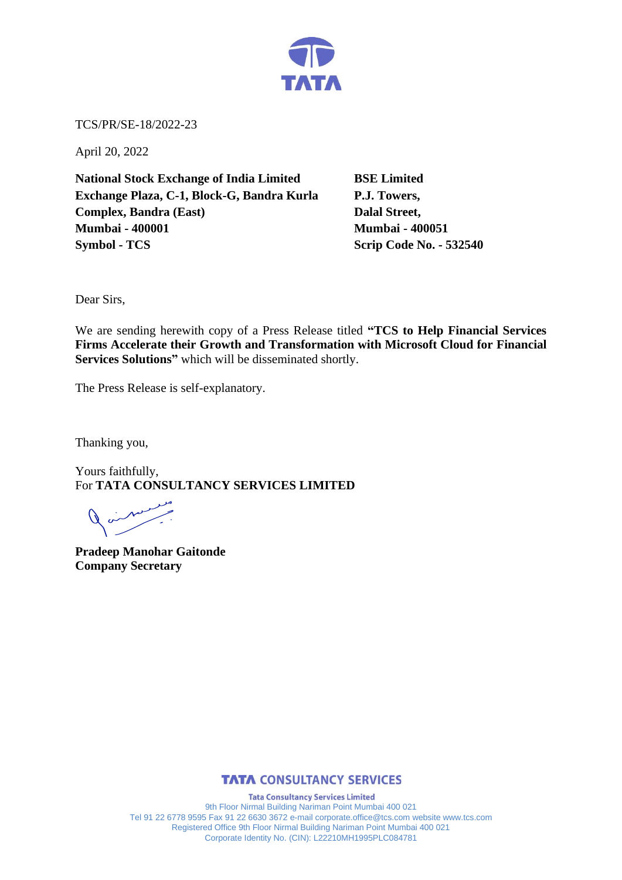

TCS/PR/SE-18/2022-23

April 20, 2022

**National Stock Exchange of India Limited BSE Limited Exchange Plaza, C-1, Block-G, Bandra Kurla P.J. Towers, Complex, Bandra (East)** Dalal Street, **Mumbai - 400001 Mumbai - 400051 Symbol - TCS Scrip Code No. - 532540** 

Dear Sirs,

We are sending herewith copy of a Press Release titled **"TCS to Help Financial Services Firms Accelerate their Growth and Transformation with Microsoft Cloud for Financial Services Solutions"** which will be disseminated shortly.

The Press Release is self-explanatory.

Thanking you,

Yours faithfully, For **TATA CONSULTANCY SERVICES LIMITED**

**Pradeep Manohar Gaitonde Company Secretary** 



**Tata Consultancy Services Limited** 9th Floor Nirmal Building Nariman Point Mumbai 400 021 Tel 91 22 6778 9595 Fax 91 22 6630 3672 e-mail corporate.office@tcs.com website www.tcs.com Registered Office 9th Floor Nirmal Building Nariman Point Mumbai 400 021 Corporate Identity No. (CIN): L22210MH1995PLC084781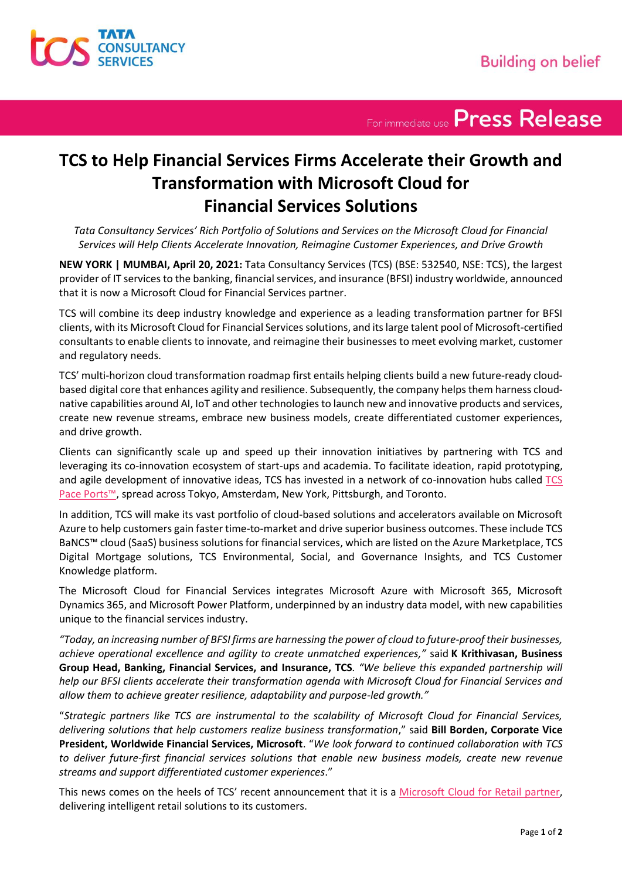

For immediate use Press Release

## **TCS to Help Financial Services Firms Accelerate their Growth and Transformation with Microsoft Cloud for Financial Services Solutions**

*Tata Consultancy Services' Rich Portfolio of Solutions and Services on the Microsoft Cloud for Financial Services will Help Clients Accelerate Innovation, Reimagine Customer Experiences, and Drive Growth* 

**NEW YORK | MUMBAI, April 20, 2021:** Tata Consultancy Services (TCS) (BSE: 532540, NSE: TCS), the largest provider of IT services to the banking, financial services, and insurance (BFSI) industry worldwide, announced that it is now a Microsoft Cloud for Financial Services partner.

TCS will combine its deep industry knowledge and experience as a leading transformation partner for BFSI clients, with its Microsoft Cloud for Financial Services solutions, and its large talent pool of Microsoft-certified consultants to enable clients to innovate, and reimagine their businesses to meet evolving market, customer and regulatory needs.

TCS' multi-horizon cloud transformation roadmap first entails helping clients build a new future-ready cloudbased digital core that enhances agility and resilience. Subsequently, the company helpsthem harness cloudnative capabilities around AI, IoT and other technologiesto launch new and innovative products and services, create new revenue streams, embrace new business models, create differentiated customer experiences, and drive growth.

Clients can significantly scale up and speed up their innovation initiatives by partnering with TCS and leveraging its co-innovation ecosystem of start-ups and academia. To facilitate ideation, rapid prototyping, and agile development of innovative ideas, TCS has invested in a network of co-innovation hubs called [TCS](https://www.tcs.com/pace-ports-innovation-business-transformation)  [Pace Ports™](https://www.tcs.com/pace-ports-innovation-business-transformation), spread across Tokyo, Amsterdam, New York, Pittsburgh, and Toronto.

In addition, TCS will make its vast portfolio of cloud-based solutions and accelerators available on Microsoft Azure to help customers gain faster time-to-market and drive superior business outcomes. These include TCS BaNCS™ cloud (SaaS) business solutions for financial services, which are listed on the Azure Marketplace, TCS Digital Mortgage solutions, TCS Environmental, Social, and Governance Insights, and TCS Customer Knowledge platform.

The Microsoft Cloud for Financial Services integrates Microsoft Azure with Microsoft 365, Microsoft Dynamics 365, and Microsoft Power Platform, underpinned by an industry data model, with new capabilities unique to the financial services industry.

*"Today, an increasing number of BFSI firms are harnessing the power of cloud to future-proof their businesses, achieve operational excellence and agility to create unmatched experiences,"* said **K Krithivasan, Business Group Head, Banking, Financial Services, and Insurance, TCS***. "We believe this expanded partnership will help our BFSI clients accelerate their transformation agenda with Microsoft Cloud for Financial Services and allow them to achieve greater resilience, adaptability and purpose-led growth."* 

"*Strategic partners like TCS are instrumental to the scalability of Microsoft Cloud for Financial Services, delivering solutions that help customers realize business transformation*," said **Bill Borden, Corporate Vice President, Worldwide Financial Services, Microsoft**. "*We look forward to continued collaboration with TCS to deliver future-first financial services solutions that enable new business models, create new revenue streams and support differentiated customer experiences*."

This news comes on the heels of TCS' recent announcement that it is a [Microsoft Cloud for Retail partner,](https://www.tcs.com/tcs-launch-partner-microsoft-cloud-retail) delivering intelligent retail solutions to its customers.